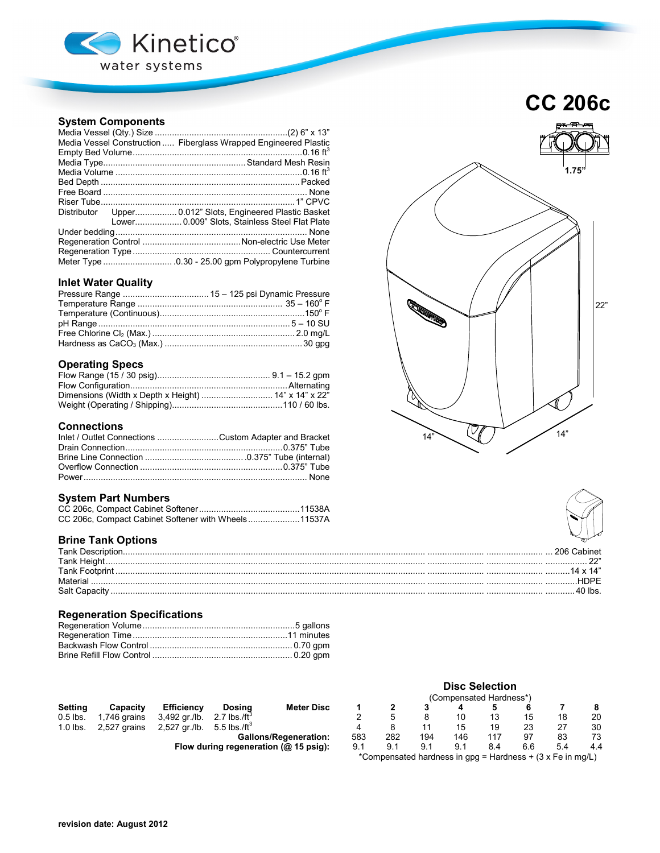

# **System Components**

| Media Vessel Construction  Fiberglass Wrapped Engineered Plastic |
|------------------------------------------------------------------|
|                                                                  |
|                                                                  |
|                                                                  |
|                                                                  |
|                                                                  |
|                                                                  |
| Distributor Upper 0.012" Slots, Engineered Plastic Basket        |
| Lower 0.009" Slots, Stainless Steel Flat Plate                   |
|                                                                  |
|                                                                  |
|                                                                  |
|                                                                  |

## **Inlet Water Quality**

## **Operating Specs**

### **Connections**

| Inlet / Outlet Connections Custom Adapter and Bracket |  |
|-------------------------------------------------------|--|
|                                                       |  |
|                                                       |  |
|                                                       |  |
|                                                       |  |

### **System Part Numbers**

| CC 206c, Compact Cabinet Softener with Wheels11537A |  |
|-----------------------------------------------------|--|

# **Brine Tank Options**

| Tank Descr        |  |
|-------------------|--|
| Tank Heigh        |  |
| <b>Tank Footr</b> |  |
| Material          |  |
| Salt Capacit      |  |

# **Regeneration Specifications**

|            |              |                   |                                          |                              | <b>Disc Selection</b>   |                                                            |     |     |     |     |     |     |
|------------|--------------|-------------------|------------------------------------------|------------------------------|-------------------------|------------------------------------------------------------|-----|-----|-----|-----|-----|-----|
|            |              |                   |                                          |                              | (Compensated Hardness*) |                                                            |     |     |     |     |     |     |
| Setting    | Capacity     | <b>Efficiency</b> | Dosina                                   | <b>Meter Disc</b>            |                         |                                                            |     |     |     |     |     | 8   |
| $0.5$ lbs. | 1.746 grains | 3,492 gr./lb.     | 2.7 lbs./ft $^{\circ}$                   |                              |                         | 5                                                          |     | 10  | 13  | 15  | 18  | 20  |
| $1.0$ lbs. | 2,527 grains | 2,527 gr./lb.     | 5.5 lbs./ft <sup>3</sup>                 |                              | 4                       | 8                                                          |     | 15  | 19  | 23  | 27  | 30  |
|            |              |                   |                                          | <b>Gallons/Regeneration:</b> | 583                     | 282                                                        | 194 | 146 | 117 | 97  | 83  | 73  |
|            |              |                   | Flow during regeneration ( $@$ 15 psig): |                              | 9.1                     | 9.1                                                        | 9.1 | 9.1 | 8.4 | 6.6 | 5.4 | 4.4 |
|            |              |                   |                                          |                              |                         | *Compensated hardness in gpg = Hardness + (3 x Fe in mg/L) |     |     |     |     |     |     |

# **CC 206c**